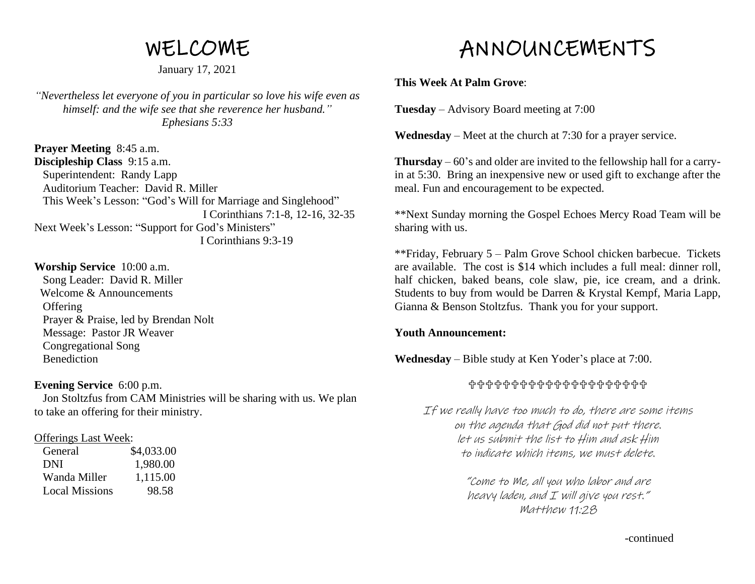# WELCOME

January 17, 2021

*"Nevertheless let everyone of you in particular so love his wife even as himself: and the wife see that she reverence her husband." Ephesians 5:33*

**Prayer Meeting** 8:45 a.m. **Discipleship Class** 9:15 a.m. Superintendent: Randy Lapp Auditorium Teacher: David R. Miller This Week's Lesson: "God's Will for Marriage and Singlehood" I Corinthians 7:1-8, 12-16, 32-35 Next Week's Lesson: "Support for God's Ministers" I Corinthians 9:3-19

# **Worship Service** 10:00 a.m.

 Song Leader: David R. Miller Welcome & Announcements **Offering**  Prayer & Praise, led by Brendan Nolt Message: Pastor JR Weaver Congregational Song **Benediction** 

#### **Evening Service** 6:00 p.m.

 Jon Stoltzfus from CAM Ministries will be sharing with us. We plan to take an offering for their ministry.

#### Offerings Last Week:

| General               | \$4,033.00 |
|-----------------------|------------|
| DNI                   | 1,980.00   |
| Wanda Miller          | 1,115.00   |
| <b>Local Missions</b> | 98.58      |

# ANNOUNCEMENTS

# **This Week At Palm Grove**:

**Tuesday** – Advisory Board meeting at 7:00

**Wednesday** – Meet at the church at 7:30 for a prayer service.

**Thursday** – 60's and older are invited to the fellowship hall for a carryin at 5:30. Bring an inexpensive new or used gift to exchange after the meal. Fun and encouragement to be expected.

\*\*Next Sunday morning the Gospel Echoes Mercy Road Team will be sharing with us.

\*\*Friday, February 5 – Palm Grove School chicken barbecue. Tickets are available. The cost is \$14 which includes a full meal: dinner roll, half chicken, baked beans, cole slaw, pie, ice cream, and a drink. Students to buy from would be Darren & Krystal Kempf, Maria Lapp, Gianna & Benson Stoltzfus. Thank you for your support.

#### **Youth Announcement:**

**Wednesday** – Bible study at Ken Yoder's place at 7:00.

#### ╬╬╬╬╬╬╬╬╬╬╬╬╬╬╬╬╬╬╬

If we really have too much to do, there are some items on the agenda that God did not put there. let us submit the list to Him and ask Him to indicate which items, we must delete.

> "Come to Me, all you who labor and are heavy laden, and I will give you rest." Matthew 11:28

> > -continued